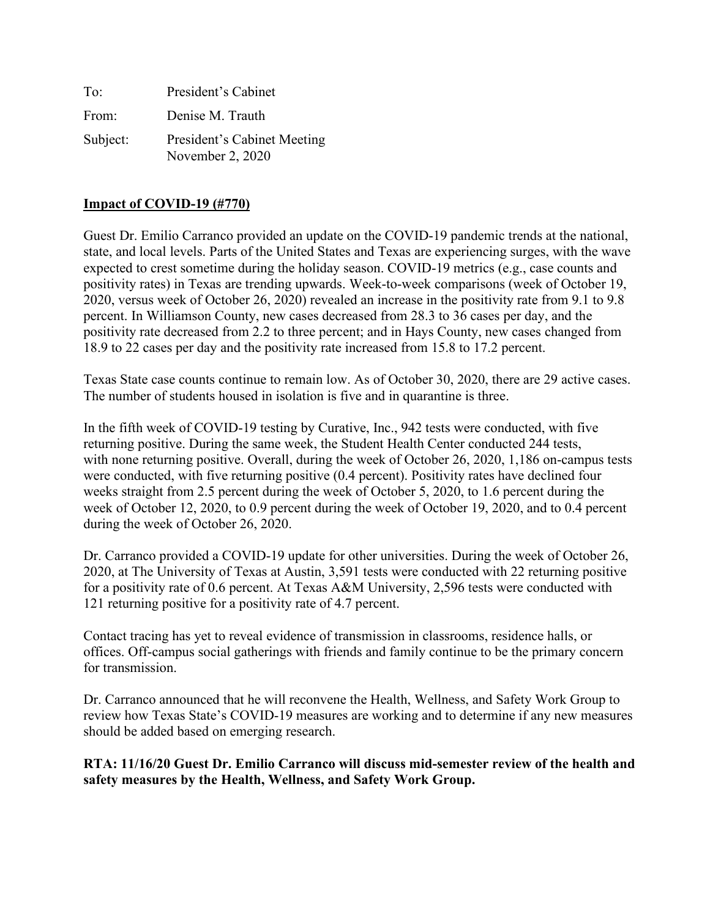| To:      | President's Cabinet                             |
|----------|-------------------------------------------------|
| From:    | Denise M. Trauth                                |
| Subject: | President's Cabinet Meeting<br>November 2, 2020 |

#### **Impact of COVID-19 (#770)**

Guest Dr. Emilio Carranco provided an update on the COVID-19 pandemic trends at the national, state, and local levels. Parts of the United States and Texas are experiencing surges, with the wave expected to crest sometime during the holiday season. COVID-19 metrics (e.g., case counts and positivity rates) in Texas are trending upwards. Week-to-week comparisons (week of October 19, 2020, versus week of October 26, 2020) revealed an increase in the positivity rate from 9.1 to 9.8 percent. In Williamson County, new cases decreased from 28.3 to 36 cases per day, and the positivity rate decreased from 2.2 to three percent; and in Hays County, new cases changed from 18.9 to 22 cases per day and the positivity rate increased from 15.8 to 17.2 percent.

Texas State case counts continue to remain low. As of October 30, 2020, there are 29 active cases. The number of students housed in isolation is five and in quarantine is three.

In the fifth week of COVID-19 testing by Curative, Inc., 942 tests were conducted, with five returning positive. During the same week, the Student Health Center conducted 244 tests, with none returning positive. Overall, during the week of October 26, 2020, 1,186 on-campus tests were conducted, with five returning positive (0.4 percent). Positivity rates have declined four weeks straight from 2.5 percent during the week of October 5, 2020, to 1.6 percent during the week of October 12, 2020, to 0.9 percent during the week of October 19, 2020, and to 0.4 percent during the week of October 26, 2020.

Dr. Carranco provided a COVID-19 update for other universities. During the week of October 26, 2020, at The University of Texas at Austin, 3,591 tests were conducted with 22 returning positive for a positivity rate of 0.6 percent. At Texas A&M University, 2,596 tests were conducted with 121 returning positive for a positivity rate of 4.7 percent.

Contact tracing has yet to reveal evidence of transmission in classrooms, residence halls, or offices. Off-campus social gatherings with friends and family continue to be the primary concern for transmission.

Dr. Carranco announced that he will reconvene the Health, Wellness, and Safety Work Group to review how Texas State's COVID-19 measures are working and to determine if any new measures should be added based on emerging research.

#### **RTA: 11/16/20 Guest Dr. Emilio Carranco will discuss mid-semester review of the health and safety measures by the Health, Wellness, and Safety Work Group.**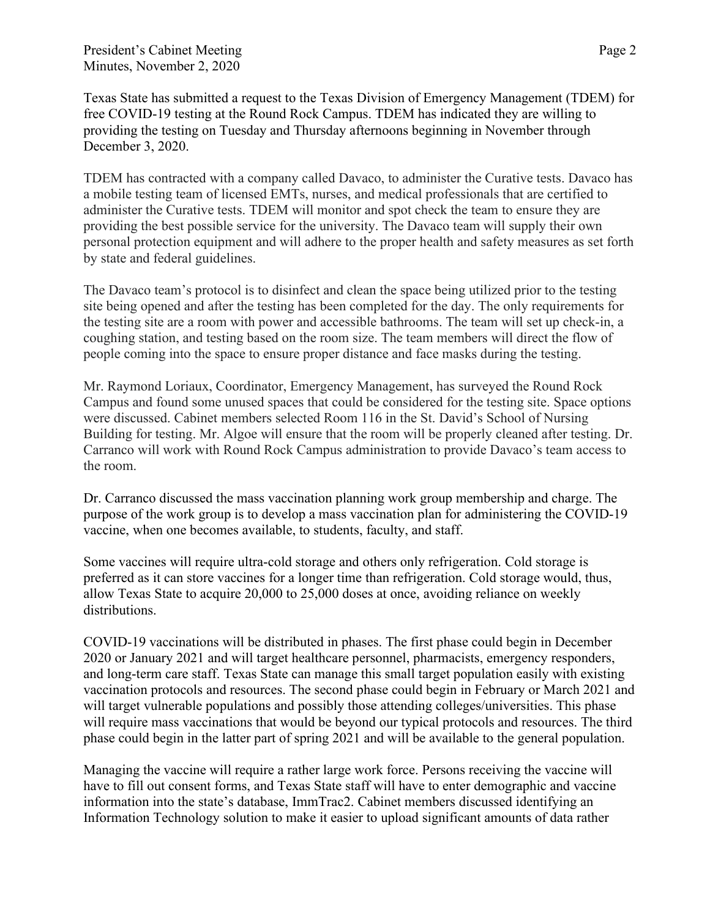Texas State has submitted a request to the Texas Division of Emergency Management (TDEM) for free COVID-19 testing at the Round Rock Campus. TDEM has indicated they are willing to providing the testing on Tuesday and Thursday afternoons beginning in November through December 3, 2020.

TDEM has contracted with a company called Davaco, to administer the Curative tests. Davaco has a mobile testing team of licensed EMTs, nurses, and medical professionals that are certified to administer the Curative tests. TDEM will monitor and spot check the team to ensure they are providing the best possible service for the university. The Davaco team will supply their own personal protection equipment and will adhere to the proper health and safety measures as set forth by state and federal guidelines.

The Davaco team's protocol is to disinfect and clean the space being utilized prior to the testing site being opened and after the testing has been completed for the day. The only requirements for the testing site are a room with power and accessible bathrooms. The team will set up check-in, a coughing station, and testing based on the room size. The team members will direct the flow of people coming into the space to ensure proper distance and face masks during the testing.

Mr. Raymond Loriaux, Coordinator, Emergency Management, has surveyed the Round Rock Campus and found some unused spaces that could be considered for the testing site. Space options were discussed. Cabinet members selected Room 116 in the St. David's School of Nursing Building for testing. Mr. Algoe will ensure that the room will be properly cleaned after testing. Dr. Carranco will work with Round Rock Campus administration to provide Davaco's team access to the room.

Dr. Carranco discussed the mass vaccination planning work group membership and charge. The purpose of the work group is to develop a mass vaccination plan for administering the COVID-19 vaccine, when one becomes available, to students, faculty, and staff.

Some vaccines will require ultra-cold storage and others only refrigeration. Cold storage is preferred as it can store vaccines for a longer time than refrigeration. Cold storage would, thus, allow Texas State to acquire 20,000 to 25,000 doses at once, avoiding reliance on weekly distributions.

COVID-19 vaccinations will be distributed in phases. The first phase could begin in December 2020 or January 2021 and will target healthcare personnel, pharmacists, emergency responders, and long-term care staff. Texas State can manage this small target population easily with existing vaccination protocols and resources. The second phase could begin in February or March 2021 and will target vulnerable populations and possibly those attending colleges/universities. This phase will require mass vaccinations that would be beyond our typical protocols and resources. The third phase could begin in the latter part of spring 2021 and will be available to the general population.

Managing the vaccine will require a rather large work force. Persons receiving the vaccine will have to fill out consent forms, and Texas State staff will have to enter demographic and vaccine information into the state's database, ImmTrac2. Cabinet members discussed identifying an Information Technology solution to make it easier to upload significant amounts of data rather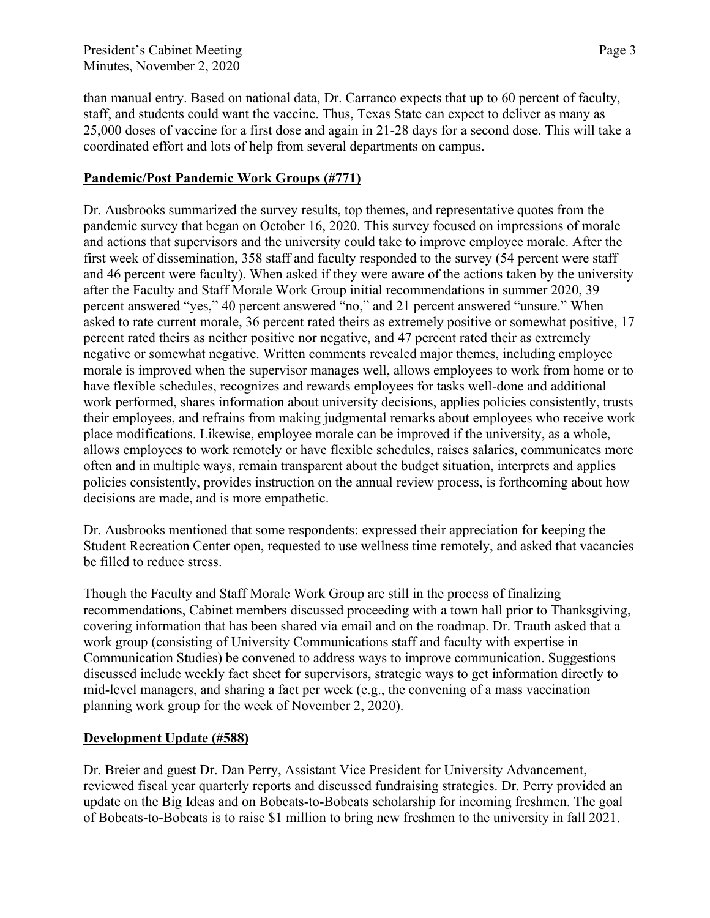than manual entry. Based on national data, Dr. Carranco expects that up to 60 percent of faculty, staff, and students could want the vaccine. Thus, Texas State can expect to deliver as many as 25,000 doses of vaccine for a first dose and again in 21-28 days for a second dose. This will take a coordinated effort and lots of help from several departments on campus.

#### **Pandemic/Post Pandemic Work Groups (#771)**

Dr. Ausbrooks summarized the survey results, top themes, and representative quotes from the pandemic survey that began on October 16, 2020. This survey focused on impressions of morale and actions that supervisors and the university could take to improve employee morale. After the first week of dissemination, 358 staff and faculty responded to the survey (54 percent were staff and 46 percent were faculty). When asked if they were aware of the actions taken by the university after the Faculty and Staff Morale Work Group initial recommendations in summer 2020, 39 percent answered "yes," 40 percent answered "no," and 21 percent answered "unsure." When asked to rate current morale, 36 percent rated theirs as extremely positive or somewhat positive, 17 percent rated theirs as neither positive nor negative, and 47 percent rated their as extremely negative or somewhat negative. Written comments revealed major themes, including employee morale is improved when the supervisor manages well, allows employees to work from home or to have flexible schedules, recognizes and rewards employees for tasks well-done and additional work performed, shares information about university decisions, applies policies consistently, trusts their employees, and refrains from making judgmental remarks about employees who receive work place modifications. Likewise, employee morale can be improved if the university, as a whole, allows employees to work remotely or have flexible schedules, raises salaries, communicates more often and in multiple ways, remain transparent about the budget situation, interprets and applies policies consistently, provides instruction on the annual review process, is forthcoming about how decisions are made, and is more empathetic.

Dr. Ausbrooks mentioned that some respondents: expressed their appreciation for keeping the Student Recreation Center open, requested to use wellness time remotely, and asked that vacancies be filled to reduce stress.

Though the Faculty and Staff Morale Work Group are still in the process of finalizing recommendations, Cabinet members discussed proceeding with a town hall prior to Thanksgiving, covering information that has been shared via email and on the roadmap. Dr. Trauth asked that a work group (consisting of University Communications staff and faculty with expertise in Communication Studies) be convened to address ways to improve communication. Suggestions discussed include weekly fact sheet for supervisors, strategic ways to get information directly to mid-level managers, and sharing a fact per week (e.g., the convening of a mass vaccination planning work group for the week of November 2, 2020).

#### **Development Update (#588)**

Dr. Breier and guest Dr. Dan Perry, Assistant Vice President for University Advancement, reviewed fiscal year quarterly reports and discussed fundraising strategies. Dr. Perry provided an update on the Big Ideas and on Bobcats-to-Bobcats scholarship for incoming freshmen. The goal of Bobcats-to-Bobcats is to raise \$1 million to bring new freshmen to the university in fall 2021.